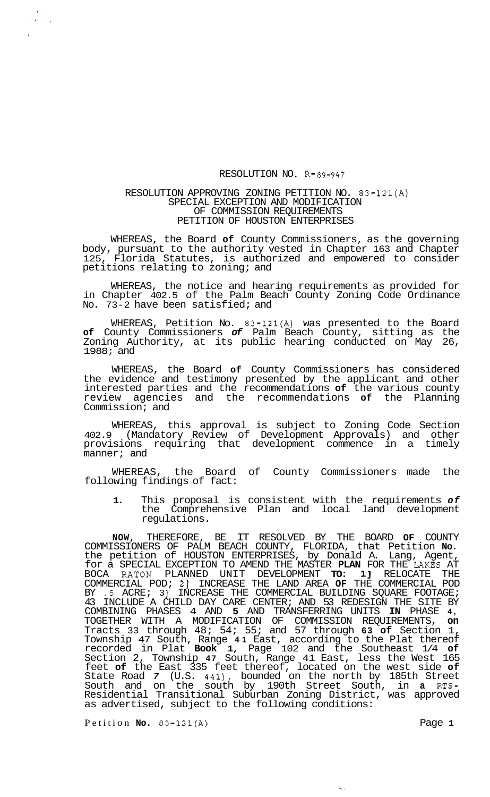## RESOLUTION NO. R-89-947

## RESOLUTION APPROVING ZONING PETITION NO. 83-121(A) SPECIAL EXCEPTION AND MODIFICATION OF COMMISSION REQUIREMENTS PETITION OF HOUSTON ENTERPRISES

WHEREAS, the Board **of** County Commissioners, as the governing body, pursuant to the authority vested in Chapter 163 and Chapter 125, Florida Statutes, is authorized and empowered to consider petitions relating to zoning; and

WHEREAS, the notice and hearing requirements as provided for in Chapter 402.5 of the Palm Beach County Zoning Code Ordinance No. 73-2 have been satisfied; and

WHEREAS, Petition No. 83-121(A) was presented to the Board **of** County Commissioners *of* Palm Beach County, sitting as the Zoning Authority, at its public hearing conducted on May 26, 1988; and

WHEREAS, the Board **of** County Commissioners has considered the evidence and testimony presented by the applicant and other interested parties and the recommendations **of** the various county review agencies and the recommendations **of** the Planning Commission; and

WHEREAS, this approval is subject to Zoning Code Section 402.9 (Mandatory Review of Development Approvals) and other provisions requiring that development commence in a timely manner; and

of County Commissioners made the WHEREAS, the Board<br>following findings of fact:

**1.** This proposal is consistent with the requirements *of*  the Comprehensive Plan and local land development regulations.

**NOW,** THEREFORE, BE IT RESOLVED BY THE BOARD **OF** COUNTY COMMISSIONERS OF PALM BEACH COUNTY, FLORIDA, that Petition **No.**  the petition of HOUSTON ENTERPRISES, by Donald A. Lang, Agent, for a SPECIAL EXCEPTION TO AMEND THE MASTER **PLAN** FOR THE **LAXES** AT BOCA RATON PLANNED UNIT DEVELOPMENT **TO:** 13 RELOCATE THE COMMERCIAL POD; **21** INCREASE THE LAND AREA **OF** THE COMMERCIAL POD BY  $\cdot$  5 ACRE; 3} INCREASE THE COMMERCIAL BUILDING SQUARE FOOTAGE; 43 INCLUDE A CHILD DAY CARE CENTER; AND 53 REDESIGN THE SITE BY COMBINING PHASES 4 AND **5** AND TRANSFERRING UNITS **IN** PHASE **4,**  TOGETHER WITH A MODIFICATION OF COMMISSION REQUIREMENTS, **on**  Tracts 33 through 48; 54; 55; and 57 through **63 of** Section 1, Township 47 South, Range **41** East, according to the Plat thereof recorded in Plat **Book 1,** Page 102 and the Southeast 1/4 **of**  Section 2, Township **47** South, Range 41 East, less the West 165 feet **of** the East 335 feet thereof, located on the west side **of**  State Road *7* (U.S. 441), bounded on the north by 185th Street South and on the south by 190th Street South, in **a RTS-**Residential Transitional Suburban Zoning District, was approved as advertised, subject to the following conditions:

Petition **No. 83-121(A)** Page **1** 

\

 $\mathbf{v}^{\prime}$  $\bar{t}$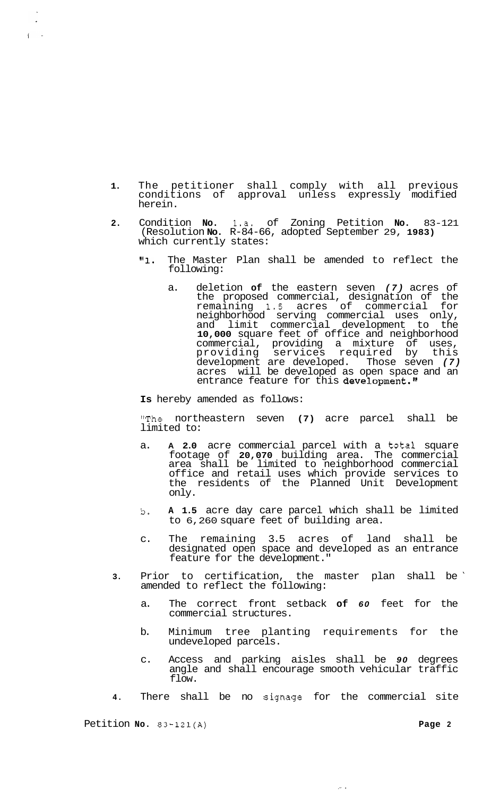- **1.** The petitioner shall comply with all previous conditions of approval unless expressly modified herein.
- **2.** Condition **No.** 1.a. of Zoning Petition **No.** 83-121 (Resolution **No.** R-84-66, adopted September 29, **1983)**  which currently states:
	- "1. The Master Plan shall be amended to reflect the following:
		- a. deletion **of** the eastern seven *(7)* acres of the proposed commercial, designation of the remaining **1.5** acres of commercial for neighborhood serving commercial uses only, and limit commercial development to the **10,000** square feet of office and neighborhood commercial, providing a mixture of uses, providing services required by this development are developed. Those seven *(7)*  acres will be developed as open space and an entrance feature for this development."

**Is** hereby amended as follows:

"The northeastern seven **(7)** acre parcel shall be limited to:

- a. **A 2.0** acre commercial parcel with a total square footage of **20,070** building area. The commercial area shall be limited to neighborhood commercial office and retail uses which provide services to the residents of the Planned Unit Development only.
- b. **A 1.5** acre day care parcel which shall be limited to 6,260 square feet of building area.
- c. The remaining 3.5 acres of land shall be designated open space and developed as an entrance feature for the development."
- **3.** Prior to certification, the master plan shall be ' amended to reflect the following:
	- a. The correct front setback **of** *60* feet for the commercial structures.
	- b. Minimum tree planting requirements for the undeveloped parcels.
	- c. Access and parking aisles shall be *90* degrees angle and shall encourage smooth vehicular traffic flow.

.- .

**4.** There shall be no signage for the commercial site

Petition **No. 83-121(A) Page <sup>2</sup>**

 $\ddot{\phantom{0}}$ 

 $\overline{1}$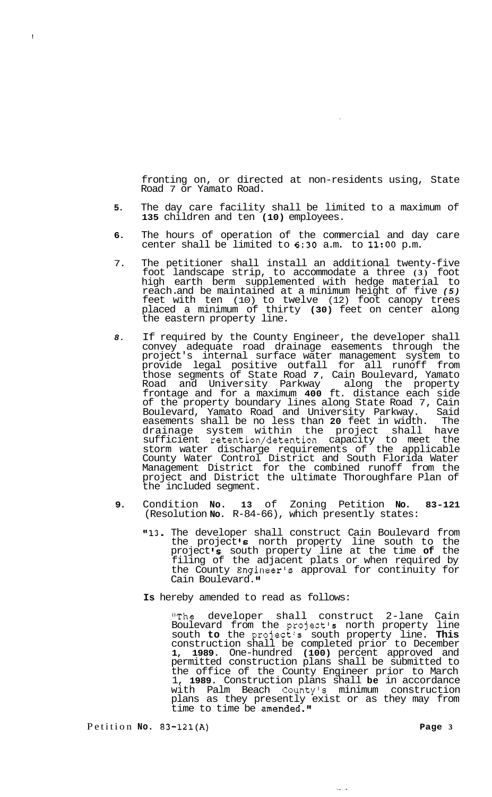fronting on, or directed at non-residents using, State Road 7 or Yamato Road.

- **5.** The day care facility shall be limited to a maximum of **135** children and ten **(10)** employees.
- **6.** The hours of operation of the commercial and day care center shall be limited to **6:30** a.m. to **11:OO** p.m.
- 7. The petitioner shall install an additional twenty-five foot landscape strip, to accommodate a three **(3)** foot high earth berm supplemented with hedge material to reach. and be maintained at a minimum height of five *(5)*  feet with ten (10) to twelve (12) foot canopy trees placed a minimum of thirty **(30)** feet on center along the eastern property line.
- *8.* If required by the County Engineer, the developer shall convey adequate road drainage easements through the project's internal surface water management system to provide legal positive outfall for all runoff from those segments of State Road *7,* Cain Boulevard, Yamato Road and University Parkway along the property frontage and for a maximum **400** ft. distance each side of the property boundary lines along State Road 7, Cain Boulevard, Yamato Road and University Parkway. Said easements shall be no less than 20 feet in width. The easements shall be no less than 20 feet in width. drainage system within the project shall have sufficient retention/detention capacity to meet the storm water discharge requirements of the applicable County Water Control District and South Florida Water Management District for the combined runoff from the project and District the ultimate Thoroughfare Plan of the included segment.
- **9.** Condition **No. 13** of Zoning Petition **No. 83-121**  (Resolution **No.** R-84-66), which presently states:
	- **"13.** The developer shall construct Cain Boulevard from the project's north property line south to the project **Is** south property line at the time **of** the filing of the adjacent plats or when required by the County Engineer's approval for continuity for Cain Boulevard."
	- **Is** hereby amended to read as follows:

"The developer shall construct 2-lane Cain Boulevard from the project's north property line south **to** the project's south property line. **This**  construction shall be completed prior to December **1, 1989.** One-hundred **(100)** percent approved and permitted construction plans shall be submitted to the office of the County Engineer prior to March 1, **1989.** Construction plans shall **be** in accordance with Palm Beach County's minimum construction plans as they presently exist or as they may from time to time be amended."

أورابين

Petition **No. 83-121(A) Page 3** 

!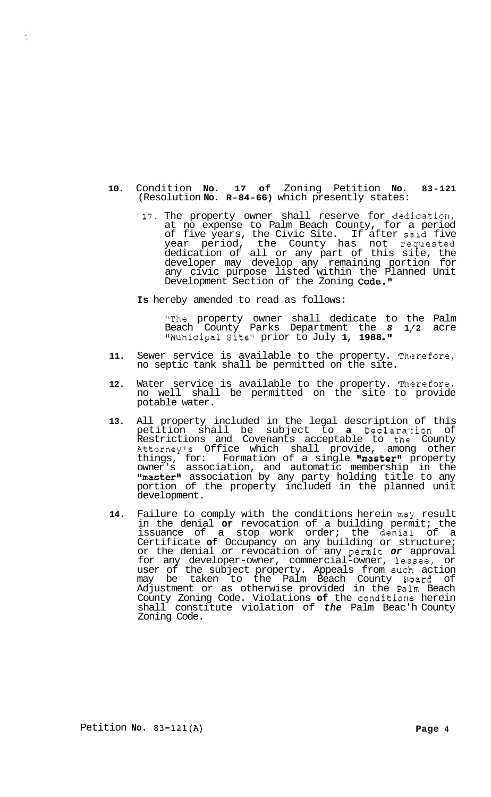- **10.** Condition **No. 17 of** Zoning Petition **No. 83-121**  (Resolution **No. R-84-66)** which presently states:
	- "17. The property owner shall reserve for dedication, at no expense to Palm Beach County, for a period of five years, the Civic Site. If after said five year period, the County has not re'quested dedication of all or any part of this site, the developer may develop any remaining portion for any civic purpose listed within the Planned Unit Development Section of the Zoning Code."
	- **Is** hereby amended to read as follows:

"The property owner shall dedicate to the Palm Beach County Parks Department the 8 1/2 acre "Municipal Site" prior to July **1, 1988 .I1** 

- 11. Sewer service is available to the property. Therefore, no septic tank shall be permitted on the site.
- 12. Water service is available to the property. Therefore, no well shall be permitted on the site to provide potable water.
- **13.** All property included in the legal description of this petition shall be subject to **a** Dec1ara'I:ion of Restrictions and Covenants acceptable to the! County Attorney's Office which shall provide, among other things, for: Formation of a single "master" property owner's association, and automatic membership in the "master" association by any party holding title to any portion of the property included in the planned unit development.
- 14. Failure to comply with the conditions herein may result in the denial **or** revocation of a building permit; the issuance of a stop work order; the denial of a Certificate **of** Occupancy on any building or structure; or the denial or revocation of any permit *or* approval for any developer-owner, commercial-owner, lessee, or user of the subject property. Appeals from such action may be taken to the Palm Beach County Hoard of Adjustment or as otherwise provided in the Pailm Beach County Zoning Code. Violations **of** the conditions herein shall constitute violation of *the* Palm Beac'h County Zoning Code.

 $\tilde{\zeta}$